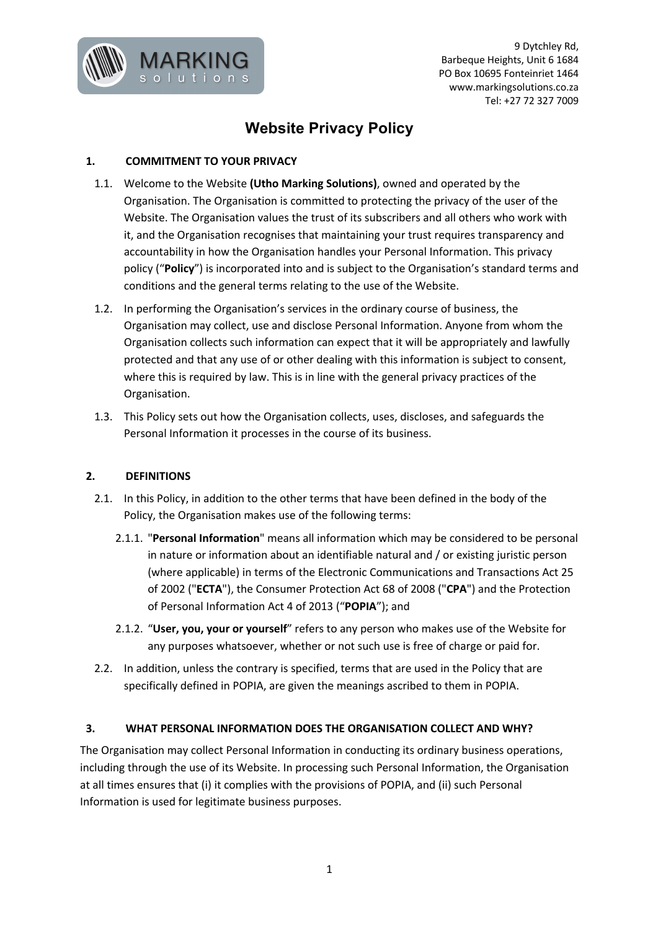

9 Dytchley Rd, Barbeque Heights, Unit 6 1684 PO Box 10695 Fonteinriet 1464 www.markingsolutions.co.za Tel: +27 72 327 7009

# **Website Privacy Policy**

# **1. COMMITMENT TO YOUR PRIVACY**

- 1.1. Welcome to the Website **(Utho Marking Solutions)**, owned and operated by the Organisation. The Organisation is committed to protecting the privacy of the user of the Website. The Organisation values the trust of its subscribers and all others who work with it, and the Organisation recognises that maintaining your trust requires transparency and accountability in how the Organisation handles your Personal Information. This privacy policy ("**Policy**") is incorporated into and is subject to the Organisation's standard terms and conditions and the general terms relating to the use of the Website.
- 1.2. In performing the Organisation's services in the ordinary course of business, the Organisation may collect, use and disclose Personal Information. Anyone from whom the Organisation collects such information can expect that it will be appropriately and lawfully protected and that any use of or other dealing with this information is subject to consent, where this is required by law. This is in line with the general privacy practices of the Organisation.
- 1.3. This Policy sets out how the Organisation collects, uses, discloses, and safeguards the Personal Information it processes in the course of its business.

# **2. DEFINITIONS**

- 2.1. In this Policy, in addition to the other terms that have been defined in the body of the Policy, the Organisation makes use of the following terms:
	- 2.1.1. "**Personal Information**" means all information which may be considered to be personal in nature or information about an identifiable natural and / or existing juristic person (where applicable) in terms of the Electronic Communications and Transactions Act 25 of 2002 ("**ECTA**"), the Consumer Protection Act 68 of 2008 ("**CPA**") and the Protection of Personal Information Act 4 of 2013 ("**POPIA**"); and
	- 2.1.2. "**User, you, your or yourself**" refers to any person who makes use of the Website for any purposes whatsoever, whether or not such use is free of charge or paid for.
- 2.2. In addition, unless the contrary is specified, terms that are used in the Policy that are specifically defined in POPIA, are given the meanings ascribed to them in POPIA.

# **3. WHAT PERSONAL INFORMATION DOES THE ORGANISATION COLLECT AND WHY?**

The Organisation may collect Personal Information in conducting its ordinary business operations, including through the use of its Website. In processing such Personal Information, the Organisation at all times ensures that (i) it complies with the provisions of POPIA, and (ii) such Personal Information is used for legitimate business purposes.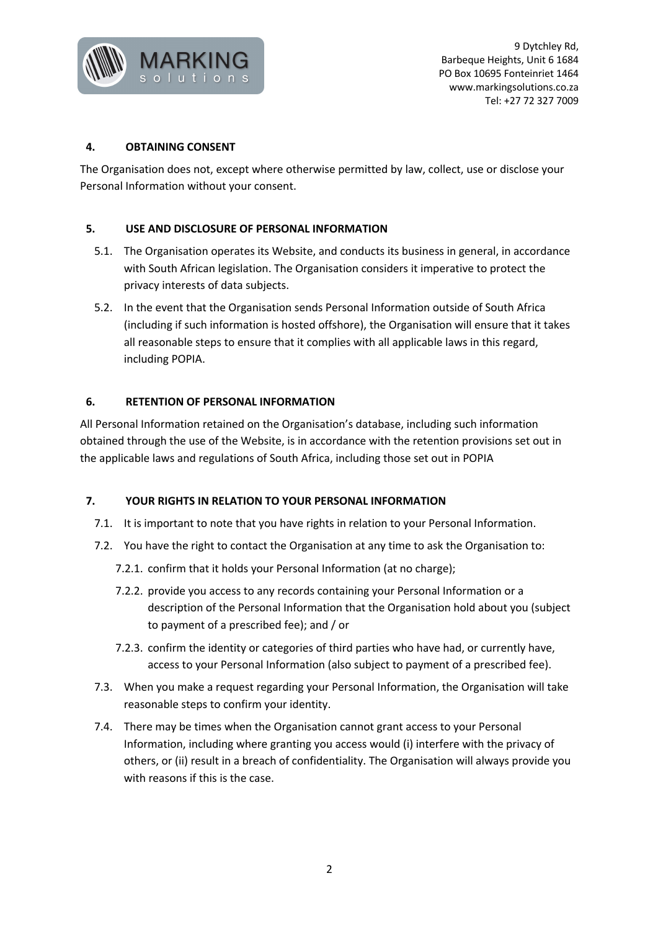

## **4. OBTAINING CONSENT**

The Organisation does not, except where otherwise permitted by law, collect, use or disclose your Personal Information without your consent.

## **5. USE AND DISCLOSURE OF PERSONAL INFORMATION**

- 5.1. The Organisation operates its Website, and conducts its business in general, in accordance with South African legislation. The Organisation considers it imperative to protect the privacy interests of data subjects.
- 5.2. In the event that the Organisation sends Personal Information outside of South Africa (including if such information is hosted offshore), the Organisation will ensure that it takes all reasonable steps to ensure that it complies with all applicable laws in this regard, including POPIA.

## **6. RETENTION OF PERSONAL INFORMATION**

All Personal Information retained on the Organisation's database, including such information obtained through the use of the Website, is in accordance with the retention provisions set out in the applicable laws and regulations of South Africa, including those set out in POPIA

#### **7. YOUR RIGHTS IN RELATION TO YOUR PERSONAL INFORMATION**

- 7.1. It is important to note that you have rights in relation to your Personal Information.
- 7.2. You have the right to contact the Organisation at any time to ask the Organisation to:
	- 7.2.1. confirm that it holds your Personal Information (at no charge);
	- 7.2.2. provide you access to any records containing your Personal Information or a description of the Personal Information that the Organisation hold about you (subject to payment of a prescribed fee); and / or
	- 7.2.3. confirm the identity or categories of third parties who have had, or currently have, access to your Personal Information (also subject to payment of a prescribed fee).
- 7.3. When you make a request regarding your Personal Information, the Organisation will take reasonable steps to confirm your identity.
- 7.4. There may be times when the Organisation cannot grant access to your Personal Information, including where granting you access would (i) interfere with the privacy of others, or (ii) result in a breach of confidentiality. The Organisation will always provide you with reasons if this is the case.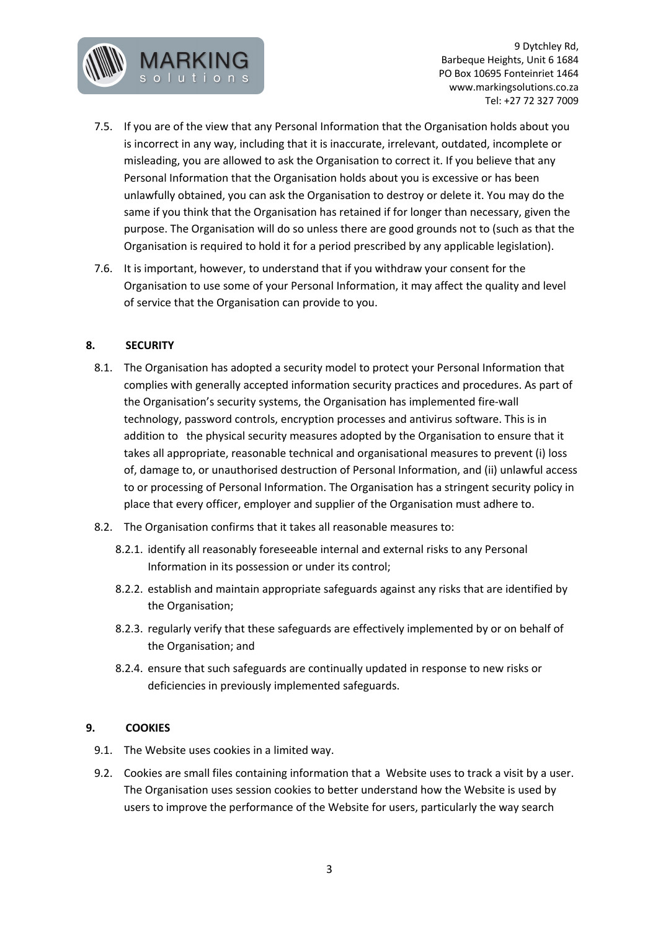

9 Dytchley Rd, Barbeque Heights, Unit 6 1684 PO Box 10695 Fonteinriet 1464 www.markingsolutions.co.za Tel: +27 72 327 7009

- 7.5. If you are of the view that any Personal Information that the Organisation holds about you is incorrect in any way, including that it is inaccurate, irrelevant, outdated, incomplete or misleading, you are allowed to ask the Organisation to correct it. If you believe that any Personal Information that the Organisation holds about you is excessive or has been unlawfully obtained, you can ask the Organisation to destroy or delete it. You may do the same if you think that the Organisation has retained if for longer than necessary, given the purpose. The Organisation will do so unless there are good grounds not to (such as that the Organisation is required to hold it for a period prescribed by any applicable legislation).
- 7.6. It is important, however, to understand that if you withdraw your consent for the Organisation to use some of your Personal Information, it may affect the quality and level of service that the Organisation can provide to you.

## **8. SECURITY**

- 8.1. The Organisation has adopted a security model to protect your Personal Information that complies with generally accepted information security practices and procedures. As part of the Organisation's security systems, the Organisation has implemented fire-wall technology, password controls, encryption processes and antivirus software. This is in addition to the physical security measures adopted by the Organisation to ensure that it takes all appropriate, reasonable technical and organisational measures to prevent (i) loss of, damage to, or unauthorised destruction of Personal Information, and (ii) unlawful access to or processing of Personal Information. The Organisation has a stringent security policy in place that every officer, employer and supplier of the Organisation must adhere to.
- 8.2. The Organisation confirms that it takes all reasonable measures to:
	- 8.2.1. identify all reasonably foreseeable internal and external risks to any Personal Information in its possession or under its control;
	- 8.2.2. establish and maintain appropriate safeguards against any risks that are identified by the Organisation;
	- 8.2.3. regularly verify that these safeguards are effectively implemented by or on behalf of the Organisation; and
	- 8.2.4. ensure that such safeguards are continually updated in response to new risks or deficiencies in previously implemented safeguards.

#### **9. COOKIES**

- 9.1. The Website uses cookies in a limited way.
- 9.2. Cookies are small files containing information that a Website uses to track a visit by a user. The Organisation uses session cookies to better understand how the Website is used by users to improve the performance of the Website for users, particularly the way search